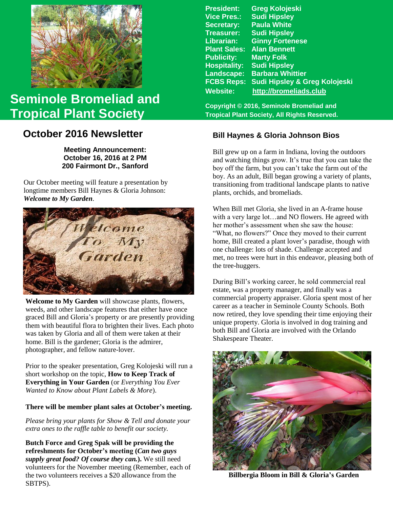

# **Seminole Bromeliad and Tropical Plant Society**

# **October 2016 Newsletter**

**Meeting Announcement: October 16, 2016 at 2 PM 200 Fairmont Dr., Sanford**

**Welcome to My Garden.** Our October meeting will feature a presentation by longtime members Bill Haynes & Gloria Johnson:



Welcome to My Garden will showcase plants, flowers, weeds, and other landscape features that either have once graced Bill and Gloria's property or are presently providing them with beautiful flora to brighten their lives. Each photo was taken by Gloria and all of them were taken at their home. Bill is the gardener; Gloria is the admirer, photographer, and fellow nature-lover.

Prior to the speaker presentation, Greg Kolojeski will run a short workshop on the topic, **How to Keep Track of Everything in Your Garden** (or *Everything You Ever Wanted to Know about Plant Labels & More*).

#### **There will be member plant sales at October's meeting.**

*Please bring your plants for Show & Tell and donate your extra ones to the raffle table to benefit our society.*

**Butch Force and Greg Spak will be providing the refreshments for October's meeting (***Can two guys supply great food? Of course they can.***).** We still need volunteers for the November meeting (Remember, each of the two volunteers receives a \$20 allowance from the SBTPS).

**President: Greg Kolojeski Vice Pres.: Sudi Hipsley Secretary: Paula White Treasurer: Sudi Hipsley Librarian: Ginny Fortenese Plant Sales: Alan Bennett Marty Folk Hospitality: Sudi Hipsley Landscape: Barbara Whittier FCBS Reps: Sudi Hipsley & Greg Kolojeski Website: [http://bromeliads.club](http://bromeliads.club/)**

**Copyright © 2016, Seminole Bromeliad and Tropical Plant Society, All Rights Reserved.**

# **Bill Haynes & Gloria Johnson Bios**

Bill grew up on a farm in Indiana, loving the outdoors and watching things grow. It's true that you can take the boy off the farm, but you can't take the farm out of the boy. As an adult, Bill began growing a variety of plants, transitioning from traditional landscape plants to native plants, orchids, and bromeliads.

When Bill met Gloria, she lived in an A-frame house with a very large lot…and NO flowers. He agreed with her mother's assessment when she saw the house: "What, no flowers?" Once they moved to their current home, Bill created a plant lover's paradise, though with one challenge: lots of shade. Challenge accepted and met, no trees were hurt in this endeavor, pleasing both of the tree-huggers.

During Bill's working career, he sold commercial real estate, was a property manager, and finally was a commercial property appraiser. Gloria spent most of her career as a teacher in Seminole County Schools. Both now retired, they love spending their time enjoying their unique property. Gloria is involved in dog training and both Bill and Gloria are involved with the Orlando Shakespeare Theater.



 **Billbergia Bloom in Bill & Gloria's Garden**